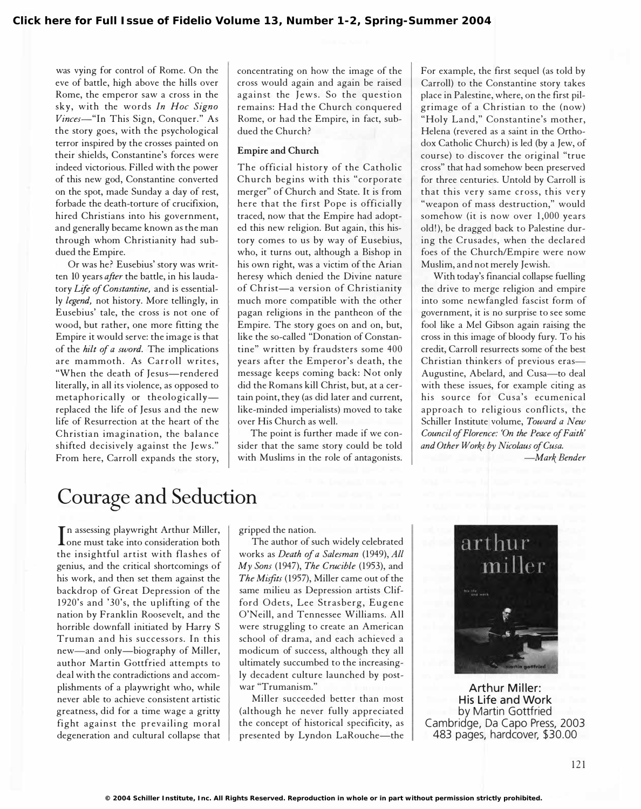was vying for control of Rome. On the eve of battle, high above the hills over Rome, the emperor saw a cross in the sky, with the words In Hoc Signo Vinces-"In This Sign, Conquer." As the story goes, with the psychological terror inspired by the crosses painted on their shields, Constantine's forces were indeed victorious. Filled with the power of this new god, Constantine converted on the spot, made Sunday a day of rest, forbade the death-torture of crucifixion, hired Christians into his government, and generally became known as the man through whom Christianity had subdued the Empire.

Or was he? Eusebius' story was written 10 years after the battle, in his laudatory Life of Constantine, and is essentially legend, not history. More tellingly, in Eusebius' tale, the cross is not one of wood, but rather, one more fitting the Empire it would serve: the image is that of the hilt of a sword. The implications are mammoth. As Carroll writes, "When the death of Jesus-rendered literally, in all its violence, as opposed to metaphorically or theologicallyreplaced the life of Jesus and the new life of Resurrection at the heart of the Christian imagination, the balance shifted decisively against the Jews." From here, Carroll expands the story,

concentrating on how the image of the cross would again and again be raised against the Jews. So the question remains: Had the Church conquered Rome, or had the Empire, in fact, subdued the Church?

## Empire and Church

The official history of the Catholic Church begins with this "corporate merger" of Church and State. It is from here that the first Pope is officially traced, now that the Empire had adopted this new religion. But again, this history comes to us by way of Eusebius, who, it turns out, although a Bishop in his own right, was a victim of the Arian heresy which denied the Divine nature of Christ-a version of Christianity much more compatible with the other pagan religions in the pantheon of the Empire. The story goes on and on, but, like the so-called "Donation of Constantine" written by fraudsters some 400 years after the Emperor's death, the message keeps coming back: Not only did the Romans kill Christ, but, at a certain point, they (as did later and current, like-minded imperialists) moved to take over His Church as well.

The point is further made if we consider that the same story could be told with Muslims in the role of antagonists. For example, the first sequel (as told by Carroll) to the Constantine story takes place in Palestine, where, on the first pilgrimage of a Christian to the (now) " Holy Land," Constantine's mother, Helena (revered as a saint in the Orthodox Catholic Church) is led (by a Jew, of course) to discover the original "true cross" that had somehow been preserved for three centuries. Untold by Carroll is that this very same cross, this very "weapon of mass destruction," would somehow (it is now over 1,000 years old!), be dragged back to Palestine during the Crusades, when the declared foes of the Church/Empire were now Muslim, and not merely Jewish.

With today's financial collapse fuelling the drive to merge religion and empire into some newfangled fascist form of government, it is no surprise to see some fool like a Mel Gibson again raising the cross in this image of bloody fury. To his credit, Carroll resurrects some of the best Christian thinkers of previous eras-Augustine, Abelard, and Cusa-to deal with these issues, for example citing as his source for Cusa's ecumenical approach to religious conflicts, the Schiller Institute volume, Toward a New Council of Florence: 'On the Peace of Faith' and Other Works by Nicolaus of Cusa.

-Mark Bender

## Courage and Seduction

In assessing piaywright Arthur Miller,<br>I one must take into consideration both n assessing playwright Arthur Miller, the insightful artist with flashes of genius, and the critical shortcomings of his work, and then set them against the backdrop of Great Depression of the 1920's and '30's, the uplifting of the nation by Franklin Roosevelt, and the horrible downfall initiated by Harry S Truman and his successors. In this new-and only-biography of Miller, author Martin Gottfried attempts to deal with the contradictions and accomplishments of a playwright who, while never able to achieve consistent artistic greatness, did for a time wage a gritty fight against the prevailing moral degeneration and cultural collapse that

gripped the nation.

The author of such widely celebrated works as Death of a Salesman (1949), All  $My$  Sons (1947), The Crucible (1953), and The Misfits (1957), Miller came out of the same milieu as Depression artists Clifford Odets, Lee Strasberg, Eugene O'Neill, and Tennessee Williams. All were struggling to create an American school of drama, and each achieved a modicum of success, although they all ultimately succumbed to the increasingly decadent culture launched by postwar "Trumanism."

Miller succeeded better than most (although he never fully appreciated the concept of historical specificity, as presented by Lyndon LaRouche-the



**Arthur Miller:** His Life and Work by Martin Gottfried Cambridge, Da Capo Press, 2003 483 pages, hardcover, \$30.00